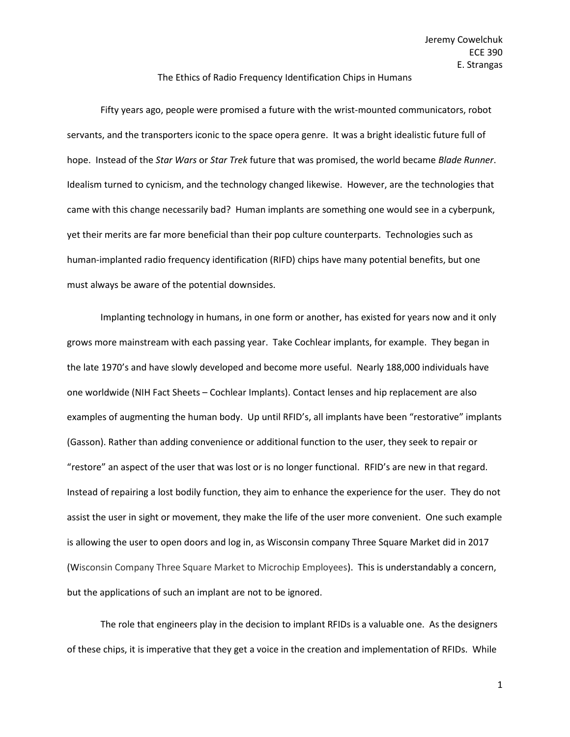## The Ethics of Radio Frequency Identification Chips in Humans

Fifty years ago, people were promised a future with the wrist-mounted communicators, robot servants, and the transporters iconic to the space opera genre. It was a bright idealistic future full of hope. Instead of the *Star Wars* or *Star Trek* future that was promised, the world became *Blade Runner*. Idealism turned to cynicism, and the technology changed likewise. However, are the technologies that came with this change necessarily bad? Human implants are something one would see in a cyberpunk, yet their merits are far more beneficial than their pop culture counterparts. Technologies such as human-implanted radio frequency identification (RIFD) chips have many potential benefits, but one must always be aware of the potential downsides.

Implanting technology in humans, in one form or another, has existed for years now and it only grows more mainstream with each passing year. Take Cochlear implants, for example. They began in the late 1970's and have slowly developed and become more useful. Nearly 188,000 individuals have one worldwide (NIH Fact Sheets – Cochlear Implants). Contact lenses and hip replacement are also examples of augmenting the human body. Up until RFID's, all implants have been "restorative" implants (Gasson). Rather than adding convenience or additional function to the user, they seek to repair or "restore" an aspect of the user that was lost or is no longer functional. RFID's are new in that regard. Instead of repairing a lost bodily function, they aim to enhance the experience for the user. They do not assist the user in sight or movement, they make the life of the user more convenient. One such example is allowing the user to open doors and log in, as Wisconsin company Three Square Market did in 2017 (Wisconsin Company Three Square Market to Microchip Employees). This is understandably a concern, but the applications of such an implant are not to be ignored.

The role that engineers play in the decision to implant RFIDs is a valuable one. As the designers of these chips, it is imperative that they get a voice in the creation and implementation of RFIDs. While

1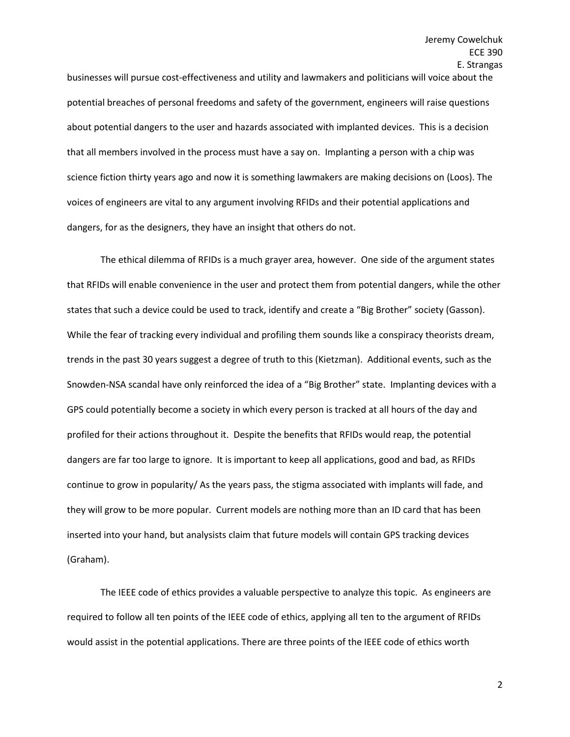businesses will pursue cost-effectiveness and utility and lawmakers and politicians will voice about the potential breaches of personal freedoms and safety of the government, engineers will raise questions about potential dangers to the user and hazards associated with implanted devices. This is a decision that all members involved in the process must have a say on. Implanting a person with a chip was science fiction thirty years ago and now it is something lawmakers are making decisions on (Loos). The voices of engineers are vital to any argument involving RFIDs and their potential applications and dangers, for as the designers, they have an insight that others do not.

The ethical dilemma of RFIDs is a much grayer area, however. One side of the argument states that RFIDs will enable convenience in the user and protect them from potential dangers, while the other states that such a device could be used to track, identify and create a "Big Brother" society (Gasson). While the fear of tracking every individual and profiling them sounds like a conspiracy theorists dream, trends in the past 30 years suggest a degree of truth to this (Kietzman). Additional events, such as the Snowden-NSA scandal have only reinforced the idea of a "Big Brother" state. Implanting devices with a GPS could potentially become a society in which every person is tracked at all hours of the day and profiled for their actions throughout it. Despite the benefits that RFIDs would reap, the potential dangers are far too large to ignore. It is important to keep all applications, good and bad, as RFIDs continue to grow in popularity/ As the years pass, the stigma associated with implants will fade, and they will grow to be more popular. Current models are nothing more than an ID card that has been inserted into your hand, but analysists claim that future models will contain GPS tracking devices (Graham).

The IEEE code of ethics provides a valuable perspective to analyze this topic. As engineers are required to follow all ten points of the IEEE code of ethics, applying all ten to the argument of RFIDs would assist in the potential applications. There are three points of the IEEE code of ethics worth

2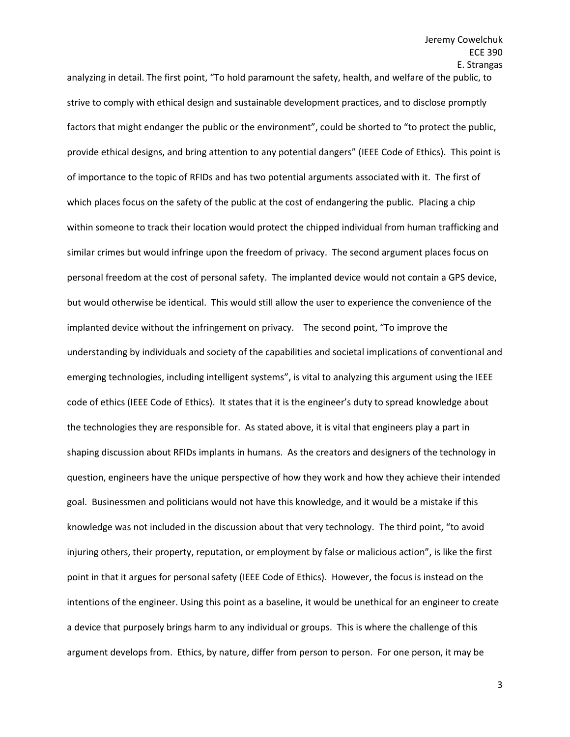analyzing in detail. The first point, "To hold paramount the safety, health, and welfare of the public, to strive to comply with ethical design and sustainable development practices, and to disclose promptly factors that might endanger the public or the environment", could be shorted to "to protect the public, provide ethical designs, and bring attention to any potential dangers" (IEEE Code of Ethics). This point is of importance to the topic of RFIDs and has two potential arguments associated with it. The first of which places focus on the safety of the public at the cost of endangering the public. Placing a chip within someone to track their location would protect the chipped individual from human trafficking and similar crimes but would infringe upon the freedom of privacy. The second argument places focus on personal freedom at the cost of personal safety. The implanted device would not contain a GPS device, but would otherwise be identical. This would still allow the user to experience the convenience of the implanted device without the infringement on privacy. The second point, "To improve the understanding by individuals and society of the capabilities and societal implications of conventional and emerging technologies, including intelligent systems", is vital to analyzing this argument using the IEEE code of ethics (IEEE Code of Ethics). It states that it is the engineer's duty to spread knowledge about the technologies they are responsible for. As stated above, it is vital that engineers play a part in shaping discussion about RFIDs implants in humans. As the creators and designers of the technology in question, engineers have the unique perspective of how they work and how they achieve their intended goal. Businessmen and politicians would not have this knowledge, and it would be a mistake if this knowledge was not included in the discussion about that very technology. The third point, "to avoid injuring others, their property, reputation, or employment by false or malicious action", is like the first point in that it argues for personal safety (IEEE Code of Ethics). However, the focus is instead on the intentions of the engineer. Using this point as a baseline, it would be unethical for an engineer to create a device that purposely brings harm to any individual or groups. This is where the challenge of this argument develops from. Ethics, by nature, differ from person to person. For one person, it may be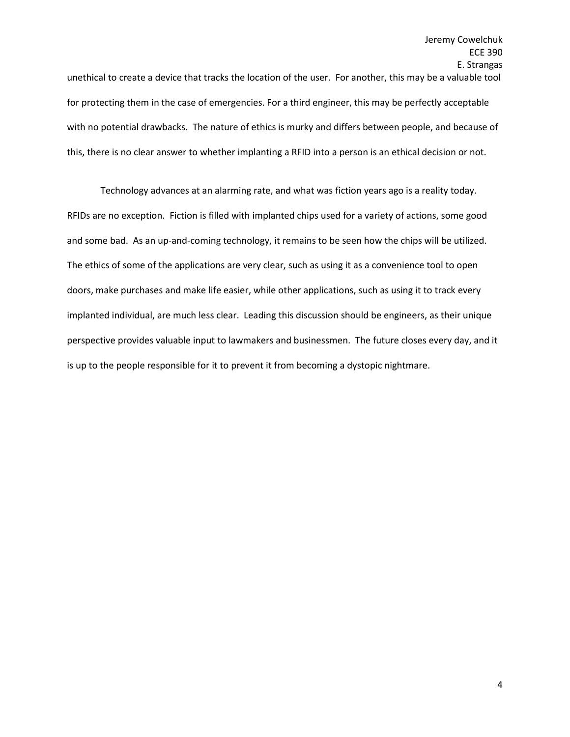unethical to create a device that tracks the location of the user. For another, this may be a valuable tool for protecting them in the case of emergencies. For a third engineer, this may be perfectly acceptable with no potential drawbacks. The nature of ethics is murky and differs between people, and because of this, there is no clear answer to whether implanting a RFID into a person is an ethical decision or not.

Technology advances at an alarming rate, and what was fiction years ago is a reality today. RFIDs are no exception. Fiction is filled with implanted chips used for a variety of actions, some good and some bad. As an up-and-coming technology, it remains to be seen how the chips will be utilized. The ethics of some of the applications are very clear, such as using it as a convenience tool to open doors, make purchases and make life easier, while other applications, such as using it to track every implanted individual, are much less clear. Leading this discussion should be engineers, as their unique perspective provides valuable input to lawmakers and businessmen. The future closes every day, and it is up to the people responsible for it to prevent it from becoming a dystopic nightmare.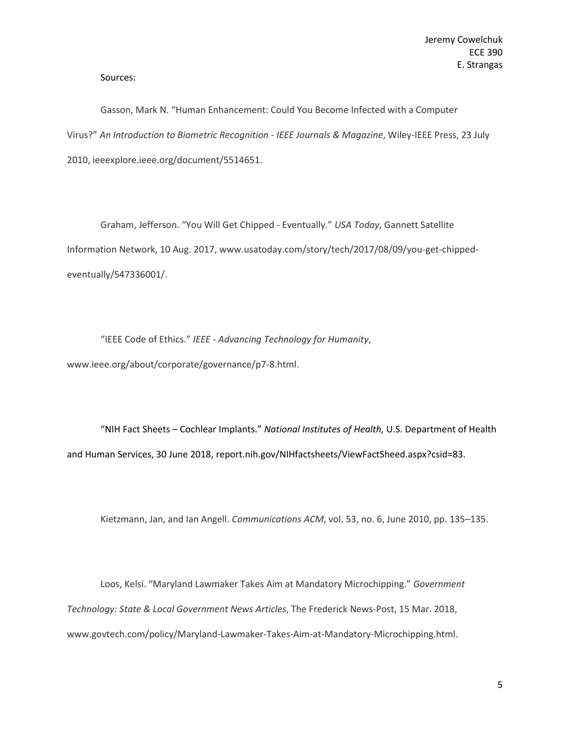Sources:

Gasson, Mark N. "Human Enhancement: Could You Become Infected with a Computer Virus?" *An Introduction to Biometric Recognition - IEEE Journals & Magazine*, Wiley-IEEE Press, 23 July 2010, ieeexplore.ieee.org/document/5514651.

Graham, Jefferson. "You Will Get Chipped - Eventually." *USA Today*, Gannett Satellite Information Network, 10 Aug. 2017, www.usatoday.com/story/tech/2017/08/09/you-get-chippedeventually/547336001/.

"IEEE Code of Ethics." *IEEE - Advancing Technology for Humanity*, www.ieee.org/about/corporate/governance/p7-8.html.

"NIH Fact Sheets – Cochlear Implants." *National Institutes of Health,* U.S. Department of Health and Human Services, 30 June 2018, report.nih.gov/NIHfactsheets/ViewFactSheed.aspx?csid=83.

Kietzmann, Jan, and Ian Angell. *Communications ACM*, vol. 53, no. 6, June 2010, pp. 135–135.

Loos, Kelsi. "Maryland Lawmaker Takes Aim at Mandatory Microchipping." *Government Technology: State & Local Government News Articles*, The Frederick News-Post, 15 Mar. 2018, www.govtech.com/policy/Maryland-Lawmaker-Takes-Aim-at-Mandatory-Microchipping.html.